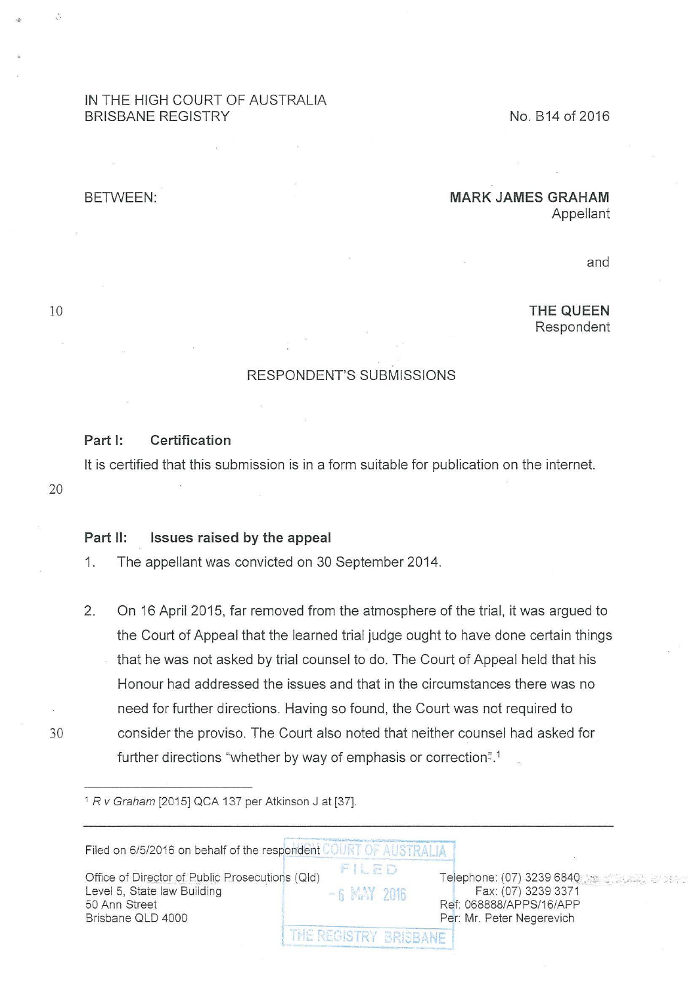# IN THE HIGH COURT OF AUSTRALIA BRISBANE REGISTRY

No. 814 of 2016

### BETWEEN:

# **MARK JAMES GRAHAM**

Appellant

and

**THE QUEEN**  Respondent

### RESPONDENT'S SUBMISSIONS

### **Part 1: Certification**

lt is certified that this submission is in a form suitable for publication on the internet.

20

10

...

### **Part 11: Issues raised by the appeal**

- 1. The appellant was convicted on 30 September 2014.
- 2. On 16 April 2015, far removed from the atmosphere of the trial, it was argued to the Court of Appeal that the learned trial judge ought to have done certain things that he was not asked by trial counsel to do. The Court of Appeal held that his Honour had addressed the issues and that in the circumstances there was no need for further directions. Having so found, the Court was not required to 30 consider the proviso. The Court also noted that neither counsel had asked for further directions "whether by way of emphasis or correction".<sup>1</sup>

<sup>1</sup> R v Graham [2015] QCA 137 per Atkinson J at [37].

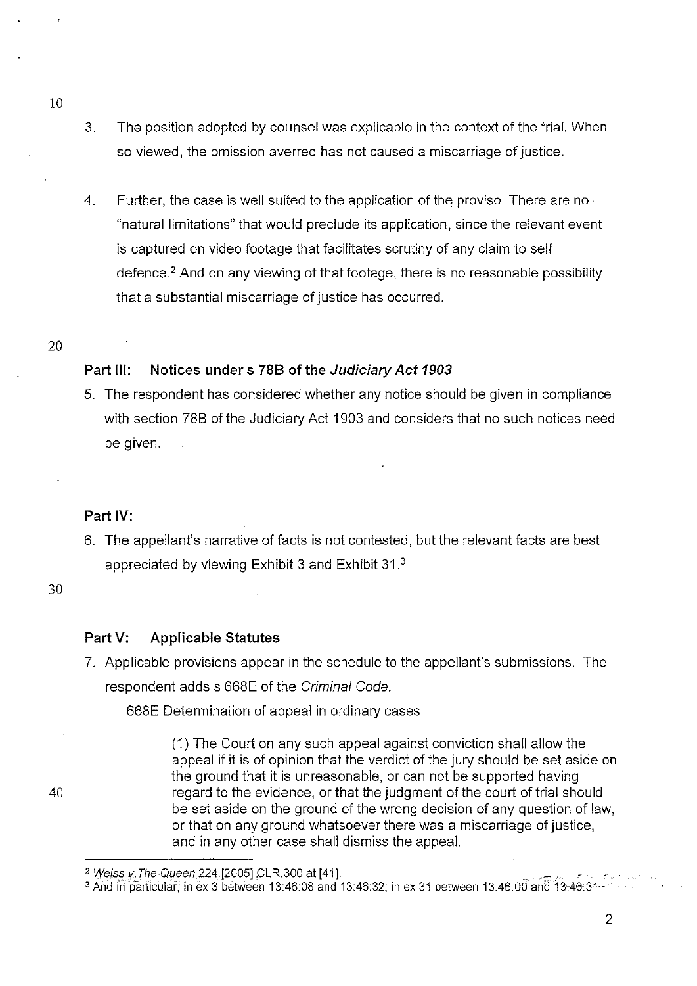- 3. The position adopted by counsel was explicable in the context of the trial. When so viewed, the omission averred has not caused a miscarriage of justice.
- 4. Further, the case is well suited to the application of the proviso. There are no "natural limitations" that would preclude its application, since the relevant event is captured on video footage that facilitates scrutiny of any claim to self defence.<sup>2</sup> And on any viewing of that footage, there is no reasonable possibility that a substantial miscarriage of justice has occurred.
- 20

10

# **Part Ill: Notices under s 788 of the Judiciary Act 1903**

5. The respondent has considered whether any notice should be given in compliance with section 78B of the Judiciary Act 1903 and considers that no such notices need be given.

# **Part IV:**

6. The appellant's narrative of facts is not contested, but the relevant facts are best appreciated by viewing Exhibit 3 and Exhibit 31 <sup>3</sup>

#### 30

# **Part V: Applicable Statutes**

7. Applicable provisions appear in the schedule to the appellant's submissions. The respondent adds s 668E of the Criminal Code.

668E Determination of appeal in ordinary cases

(1) The Court on any such appeal against conviction shall allow the appeal if it is of opinion that the verdict of the jury should be set aside on the ground that it is unreasonable, or can not be supported having regard to the evidence, or that the judgment of the court of trial should be set aside on the ground of the wrong decision of any question of law, or that on any ground whatsoever there was a miscarriage of justice, and in any other case shall dismiss the appeal.

.40

<sup>&</sup>lt;sup>2</sup> Weiss v. The Queen 224 [2005] CLR.300 at [41].

<sup>&</sup>lt;sup>3</sup> And in particular, in ex 3 between 13:46:08 and 13:46:32; in ex 31 between 13:46:00 and 13:46:31-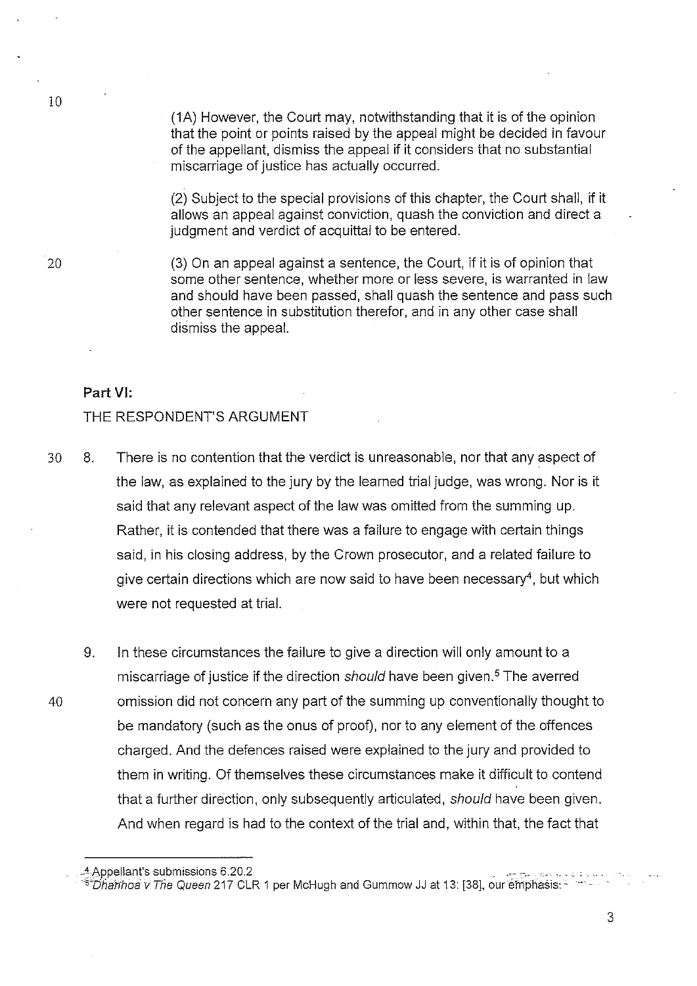(1A) However, the Court may, notwithstanding that it is of the opinion that the point or points raised by the appeal might be decided in favour of the appellant, dismiss the appeal if it considers that no substantial miscarriage of justice has actually occurred.

(2) Subject to the special provisions of this chapter, the Court shall, if it allows an appeal against conviction, quash the conviction and direct a iudament and verdict of acquittal to be entered.

10

20 (3) On an appeal against a sentence, the Court, if it is of opinion that some other sentence, whether more or less severe, is warranted in law and should have been passed, shall quash the sentence and pass such other sentence in substitution therefor, and in any other case shall dismiss the appeal.

### **Part VI:**

### THE RESPONDENT'S ARGUMENT

- 30 8. There is no contention that the verdict is unreasonable, nor that any aspect of the law, as explained to the jury by the learned trial judge, was wrong. Nor is it said that any relevant aspect of the law was omitted from the summing up. Rather, it is contended that there was a failure to engage with certain things said, in his closing address, by the Crown prosecutor, and a related failure to give certain directions which are now said to have been necessary4, but which were not requested at trial.
- 9. In these circumstances the failure to give a direction will only amount to a miscarriage of justice if the direction should have been given.<sup>5</sup> The averred 40 omission did not concern any part of the summing up conventionally thought to be mandatory (such as the onus of proof), nor to any element of the offences charged. And the defences raised were explained to the jury and provided to them in writing. Of themselves these circumstances make it difficult to contend that a further direction, only subsequently articulated, should have been given. And when regard is had to the context of the trial and, within that, the fact that

<sup>4</sup> Appellant's submissions 6.20.2

<sup>&</sup>lt;sup>-5</sup>"Dhanhoa v The Queen 217 CLR 1 per McHugh and Gummow JJ at 13: [38], our emphasis: -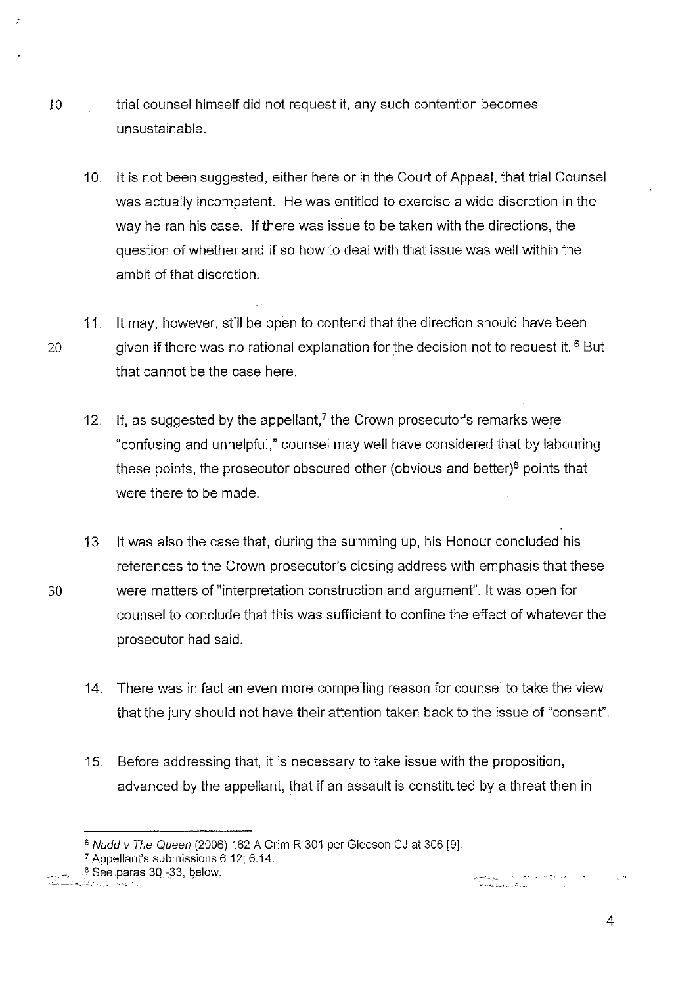- 10 trial counsel himself did not request it, any such contention becomes unsustainable.
	- 10. it is not been suggested, either here or in the Court of Appeal, that trial Counsel was actually incompetent. He was entitled to exercise a wide discretion in the way he ran his case. If there was issue to be taken with the directions, the question of whether and if so how to deal with that issue was well within the ambit of that discretion.
- 11. it may, however, still be open to contend that the direction should have been 20 given if there was no rational explanation for the decision not to request it.  $6$  But that cannot be the case here.
	- 12. If, as suggested by the appellant,<sup> $7$ </sup> the Crown prosecutor's remarks were "confusing and unhelpful," counsel may well have considered that by labouring these points, the prosecutor obscured other (obvious and better) $8$  points that were there to be made.
- 13. it was also the case that, during the summing up, his Honour concluded his references to the Crown prosecutor's closing address with emphasis that these 30 were matters of "interpretation construction and argument". it was open for counsel to conclude that this was sufficient to confine the effect of whatever the prosecutor had said.
	- 14. There was in fact an even more compelling reason for counsel to take the view that the jury should not have their attention taken back to the issue of "consent".
	- 15. Before addressing that, it is necessary to take issue with the proposition, advanced by the appellant, that if an assault is constituted by a threat then in

8 See paras 30-33, below.

ا محکومت می شود که از این تهران میشود.<br>این این این این این این تهران میشود میشود.

<sup>&</sup>lt;sup>6</sup> Nudd v The Queen (2006) 162 A Crim R 301 per Gleeson CJ at 306 [9].

<sup>7</sup>Appellant's submissions 6.12; 6.14.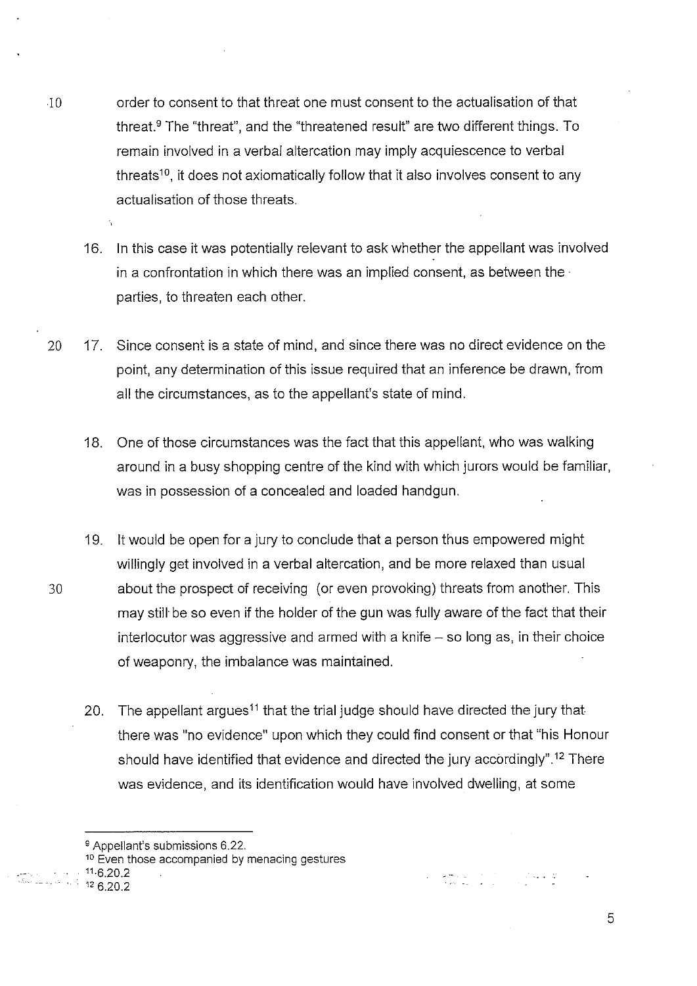- 10 order to consent to that threat one must consent to the actualisation of that threat.9 The "threat", and the "threatened result" are two different things. To remain involved in a verbal altercation may imply acquiescence to verbal threats<sup>10</sup>, it does not axiomatically follow that it also involves consent to any actualisation of those threats.
	- 16. In this case it was potentially relevant to ask whether the appellant was involved in a confrontation in which there was an implied consent, as between the· parties, to threaten each other.
- 20 17. Since consent is a state of mind, and since there was no direct evidence on the point, any determination of this issue required that an inference be drawn, from all the circumstances, as to the appellant's state of mind.
	- 18. One of those circumstances was the fact that this appellant, who was walking around in a busy shopping centre of the kind with which jurors would be familiar, was in possession of a concealed and loaded handgun.
- 19. it would be open for a jury to conclude that a person thus empowered might willingly get involved in a verbal altercation, and be more relaxed than usual 30 about the prospect of receiving (or even provoking) threats from another. This may still be so even if the holder of the gun was fully aware of the fact that their interlocutor was aggressive and armed with a knife  $-$  so long as, in their choice of weaponry, the imbalance was maintained.
	- 20. The appellant argues<sup>11</sup> that the trial judge should have directed the jury that there was "no evidence" upon which they could find consent or that "his Honour should have identified that evidence and directed the jury accordingly".<sup>12</sup> There was evidence, and its identification would have involved dwelling, at some

المناسبة المستخدمة.<br>المناسبة المقام

- $\cdot$  ...  $11.6.20.2$ 
	- $126.20.2$

<sup>9</sup> Appellant's submissions 6.22.

<sup>&</sup>lt;sup>10</sup> Even those accompanied by menacing gestures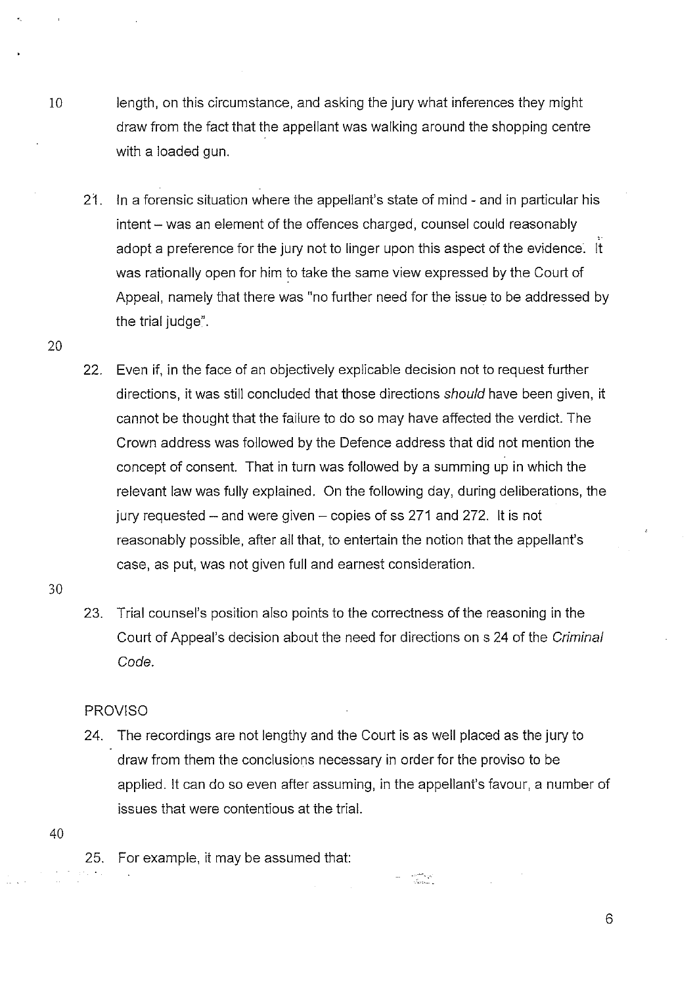- 10 length, on this circumstance, and asking the jury what inferences they might draw from the fact that the appellant was walking around the shopping centre with a loaded gun.
	- 21. In a forensic situation where the appellant's state of mind- and in particular his intent - was an element of the offences charged, counsel could reasonably adopt a preference for the jury not to linger upon this aspect of the evidence. it was rationally open for him to take the same view expressed by the Court of Appeal, namely that there was "no further need for the issue to be addressed by the trial judge".
	- 22. Even if, in the face of an objectively explicable decision not to request further directions, it was still concluded that those directions should have been given, it cannot be thought that the failure to do so may have affected the verdict. The Crown address was followed by the Defence address that did not mention the concept of consent. That in turn was followed by a summing up in which the relevant law was fully explained. On the following day, during deliberations, the jury requested  $-$  and were given  $-$  copies of ss 271 and 272. It is not reasonably possible, after all that, to entertain the notion that the appellant's case, as put, was not given full and earnest consideration.
- 30

20

23. Trial counsel's position also points to the correctness of the reasoning in the Court of Appeal's decision about the need for directions on s 24 of the Criminal Code.

# PROVISO

24. The recordings are not lengthy and the Court is as well placed as the jury to draw from them the conclusions necessary in order for the proviso to be applied. it can do so even after assuming, in the appellant's favour, a number of issues that were contentious at the trial.

40

25. For example, it may be assumed that: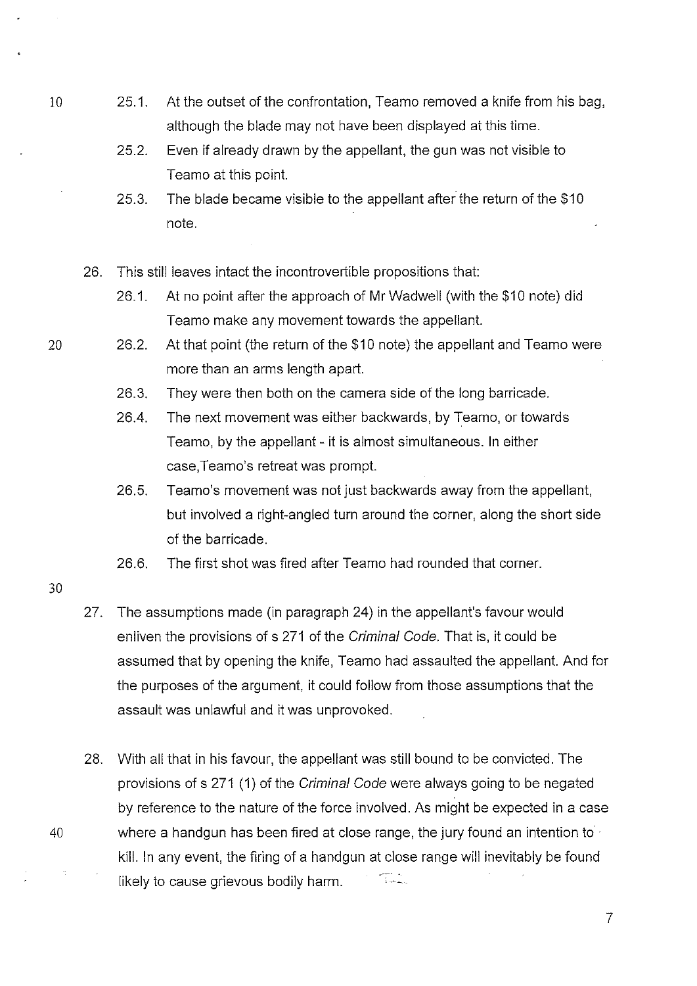- 10 25.1. At the outset of the confrontation, Teamo removed a knife from his bag, although the blade may not have been displayed at this time.
	- 25.2. Even if already drawn by the appellant, the gun was not visible to Teamo at this point.
	- 25.3. The blade became visible to the appellant after the return of the \$10 note.
	- 26. This still leaves intact the incontrovertible propositions that:
		- 26.1. At no point after the approach of Mr Wadwell (with the \$10 note) did Teamo make any movement towards the appellant.
- 20 26.2. At that point (the return of the \$10 note) the appellant and Teamo were more than an arms length apart.
	- 26.3. They were then both on the camera side of the long barricade.
	- 26.4. The next movement was either backwards, by Teamo, or towards Teamo, by the appellant- it is almost simultaneous. In either case,Teamo's retreat was prompt.
	- 26.5. Teamo's movement was not just backwards away from the appellant, but involved a right-angled turn around the corner, along the short side of the barricade.
	- 26.6. The first shot was fired after Teamo had rounded that corner.
- 30
- 27. The assumptions made (in paragraph 24) in the appellant's favour would enliven the provisions of s 271 of the Criminal Code. That is, it could be assumed that by opening the knife, Teamo had assaulted the appellant. And for the purposes of the argument, it could follow from those assumptions that the assault was unlawful and it was unprovoked.
- 28. With all that in his favour, the appellant was still bound to be convicted. The provisions of s 271 (1) of the Criminal Code were always going to be negated by reference to the nature of the force involved. As might be expected in a case 40 where a handgun has been fired at close range, the jury found an intention to · kill. In any event, the firing of a handgun at close range will inevitably be found armania<br>Talerania likely to cause grievous bodily harm.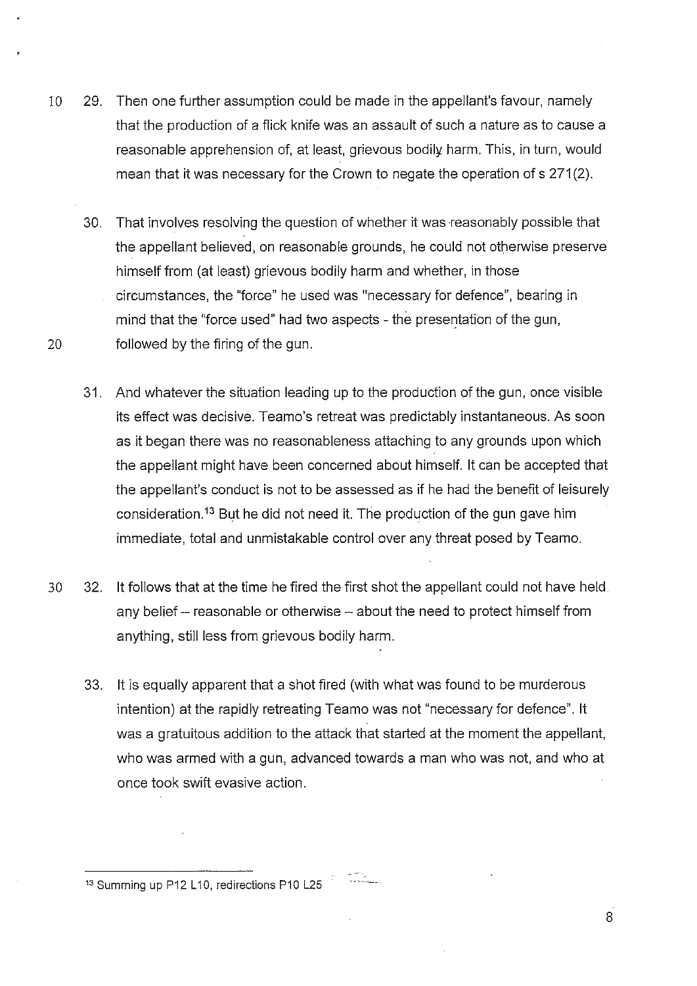- 10 29. Then one further assumption could be made in the appellant's favour, namely that the production of a flick knife was an assault of such a nature as to cause a reasonable apprehension of, at least, grievous bodily harm. This, in turn, would mean that it was necessary for the Crown to negate the operation of s 271(2).
- 30. That involves resolving the question of whether it was reasonably possible that the appellant believed, on reasonable grounds, he could not otherwise preserve himself from (at least) grievous bodily harm and whether, in those circumstances, the "force" he used was "necessary for defence", bearing in mind that the "force used" had two aspects- the presentation of the gun, 20 followed by the firing of the gun.
	- 31. And whatever the situation leading up to the production of the gun, once visible its effect was decisive. Teamo's retreat was predictably instantaneous. As soon as it began there was no reasonableness attaching to any grounds upon which the appellant might have been concerned about himself. lt can be accepted that the appellant's conduct is not *to* be assessed as if he had the benefit of leisurely consideration.<sup>13</sup> But he did not need it. The production of the gun gave him immediate, total and unmistakable control over any threat posed by Teamo.
- 30 32. it follows that at the time he fired the first shot the appellant could not have held any belief - reasonable or otherwise - about the need to protect himself from anything, still less from grievous bodily harm.
	- 33. lt is equally apparent that a shot fired (with what was found to be murderous intention) at the rapidly retreating Teamo was not "necessary for defence". lt was a gratuitous addition *to* the attack that started at the moment the appellant, who was armed with a gun, advanced towards a man who was not, and who at once took swift evasive action.

 $13$  Summing up P12 L10, redirections P10 L25  $\frac{13}{2}$